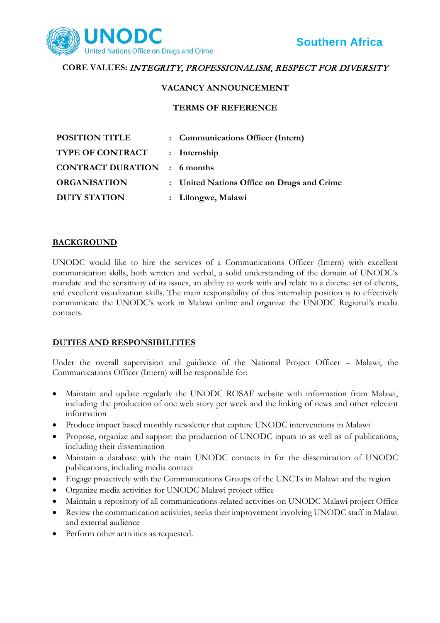

# **CORE VALUES:** INTEGRITY, PROFESSIONALISM, RESPECT FOR DIVERSITY

#### **VACANCY ANNOUNCEMENT**

#### **TERMS OF REFERENCE**

| <b>POSITION TITLE</b>               | : Communications Officer (Intern)          |
|-------------------------------------|--------------------------------------------|
| <b>TYPE OF CONTRACT</b>             | : Internship                               |
| <b>CONTRACT DURATION</b> : 6 months |                                            |
| <b>ORGANISATION</b>                 | : United Nations Office on Drugs and Crime |
| <b>DUTY STATION</b>                 | : Lilongwe, Malawi                         |

### **BACKGROUND**

UNODC would like to hire the services of a Communications Officer (Intern) with excellent communication skills, both written and verbal, a solid understanding of the domain of UNODC's mandate and the sensitivity of its issues, an ability to work with and relate to a diverse set of clients, and excellent visualization skills. The main responsibility of this internship position is to effectively communicate the UNODC's work in Malawi online and organize the UNODC Regional's media contacts.

## **DUTIES AND RESPONSIBILITIES**

Under the overall supervision and guidance of the National Project Officer – Malawi, the Communications Officer (Intern) will be responsible for:

- Maintain and update regularly the UNODC ROSAF website with information from Malawi, including the production of one web story per week and the linking of news and other relevant information
- Produce impact based monthly newsletter that capture UNODC interventions in Malawi
- Propose, organize and support the production of UNODC inputs to as well as of publications, including their dissemination
- Maintain a database with the main UNODC contacts in for the dissemination of UNODC publications, including media contact
- Engage proactively with the Communications Groups of the UNCTs in Malawi and the region
- Organize media activities for UNODC Malawi project office
- Maintain a repository of all communications-related activities on UNODC Malawi project Office
- Review the communication activities, seeks their improvement involving UNODC staff in Malawi and external audience
- Perform other activities as requested.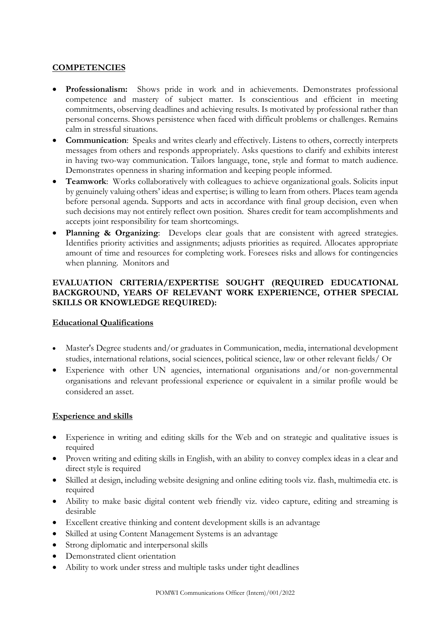## **COMPETENCIES**

- **Professionalism:** Shows pride in work and in achievements. Demonstrates professional competence and mastery of subject matter. Is conscientious and efficient in meeting commitments, observing deadlines and achieving results. Is motivated by professional rather than personal concerns. Shows persistence when faced with difficult problems or challenges. Remains calm in stressful situations.
- **Communication**: Speaks and writes clearly and effectively. Listens to others, correctly interprets messages from others and responds appropriately. Asks questions to clarify and exhibits interest in having two-way communication. Tailors language, tone, style and format to match audience. Demonstrates openness in sharing information and keeping people informed.
- **Teamwork**: Works collaboratively with colleagues to achieve organizational goals. Solicits input by genuinely valuing others' ideas and expertise; is willing to learn from others. Places team agenda before personal agenda. Supports and acts in accordance with final group decision, even when such decisions may not entirely reflect own position. Shares credit for team accomplishments and accepts joint responsibility for team shortcomings.
- **Planning & Organizing**: Develops clear goals that are consistent with agreed strategies. Identifies priority activities and assignments; adjusts priorities as required. Allocates appropriate amount of time and resources for completing work. Foresees risks and allows for contingencies when planning. Monitors and

## **EVALUATION CRITERIA/EXPERTISE SOUGHT (REQUIRED EDUCATIONAL BACKGROUND, YEARS OF RELEVANT WORK EXPERIENCE, OTHER SPECIAL SKILLS OR KNOWLEDGE REQUIRED):**

#### **Educational Qualifications**

- Master's Degree students and/or graduates in Communication, media, international development studies, international relations, social sciences, political science, law or other relevant fields/ Or
- Experience with other UN agencies, international organisations and/or non-governmental organisations and relevant professional experience or equivalent in a similar profile would be considered an asset.

#### **Experience and skills**

- Experience in writing and editing skills for the Web and on strategic and qualitative issues is required
- Proven writing and editing skills in English, with an ability to convey complex ideas in a clear and direct style is required
- Skilled at design, including website designing and online editing tools viz. flash, multimedia etc. is required
- Ability to make basic digital content web friendly viz. video capture, editing and streaming is desirable
- Excellent creative thinking and content development skills is an advantage
- Skilled at using Content Management Systems is an advantage
- Strong diplomatic and interpersonal skills
- Demonstrated client orientation
- Ability to work under stress and multiple tasks under tight deadlines